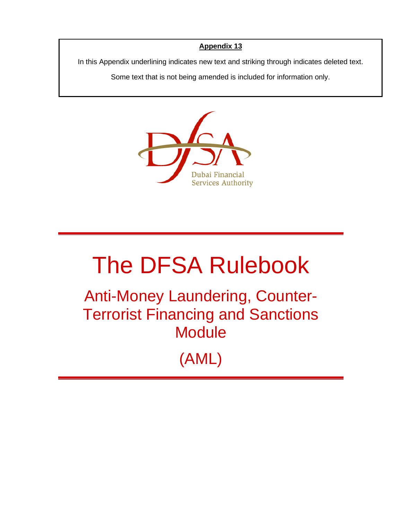## **Appendix 13**

In this Appendix underlining indicates new text and striking through indicates deleted text.

Some text that is not being amended is included for information only.



## The DFSA Rulebook

Anti-Money Laundering, Counter-Terrorist Financing and Sanctions **Module** 

(AML)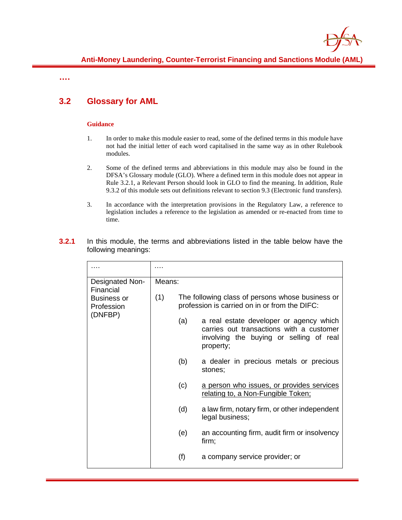

**….**

## **3.2 Glossary for AML**

## **Guidance**

- 1. In order to make this module easier to read, some of the defined terms in this module have not had the initial letter of each word capitalised in the same way as in other Rulebook modules.
- 2. Some of the defined terms and abbreviations in this module may also be found in the DFSA's Glossary module (GLO). Where a defined term in this module does not appear in Rule 3.2.1, a Relevant Person should look in GLO to find the meaning. In addition, Rule 9.3.2 of this module sets out definitions relevant to section 9.3 (Electronic fund transfers).
- 3. In accordance with the interpretation provisions in the Regulatory Law, a reference to legislation includes a reference to the legislation as amended or re-enacted from time to time.
- **3.2.1** In this module, the terms and abbreviations listed in the table below have the following meanings:

| Designated Non-<br>Financial<br>Business or<br>Profession<br>(DNFBP) | Means: |                                                                                                   |                                                                                                                                             |
|----------------------------------------------------------------------|--------|---------------------------------------------------------------------------------------------------|---------------------------------------------------------------------------------------------------------------------------------------------|
|                                                                      | (1)    | The following class of persons whose business or<br>profession is carried on in or from the DIFC: |                                                                                                                                             |
|                                                                      |        | (a)                                                                                               | a real estate developer or agency which<br>carries out transactions with a customer<br>involving the buying or selling of real<br>property; |
|                                                                      |        | (b)                                                                                               | a dealer in precious metals or precious<br>stones;                                                                                          |
|                                                                      |        | (c)                                                                                               | a person who issues, or provides services<br>relating to, a Non-Fungible Token;                                                             |
|                                                                      |        | (d)                                                                                               | a law firm, notary firm, or other independent<br>legal business;                                                                            |
|                                                                      |        | (e)                                                                                               | an accounting firm, audit firm or insolvency<br>firm;                                                                                       |
|                                                                      |        | (f)                                                                                               | a company service provider; or                                                                                                              |